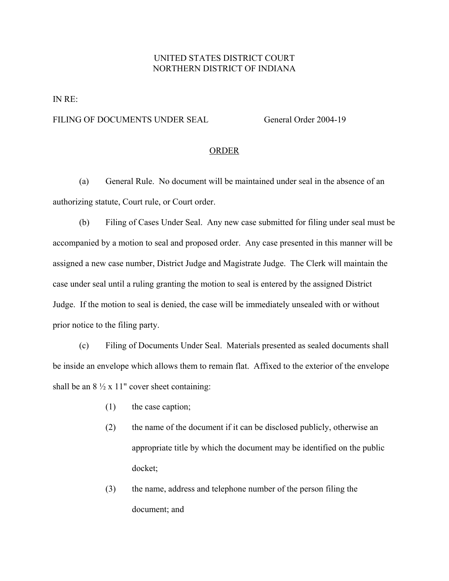## UNITED STATES DISTRICT COURT NORTHERN DISTRICT OF INDIANA

IN RE:

## FILING OF DOCUMENTS UNDER SEAL General Order 2004-19

## ORDER

(a) General Rule. No document will be maintained under seal in the absence of an authorizing statute, Court rule, or Court order.

(b) Filing of Cases Under Seal. Any new case submitted for filing under seal must be accompanied by a motion to seal and proposed order. Any case presented in this manner will be assigned a new case number, District Judge and Magistrate Judge. The Clerk will maintain the case under seal until a ruling granting the motion to seal is entered by the assigned District Judge. If the motion to seal is denied, the case will be immediately unsealed with or without prior notice to the filing party.

(c) Filing of Documents Under Seal. Materials presented as sealed documents shall be inside an envelope which allows them to remain flat. Affixed to the exterior of the envelope shall be an  $8\frac{1}{2} \times 11"$  cover sheet containing:

- (1) the case caption;
- (2) the name of the document if it can be disclosed publicly, otherwise an appropriate title by which the document may be identified on the public docket;
- (3) the name, address and telephone number of the person filing the document; and